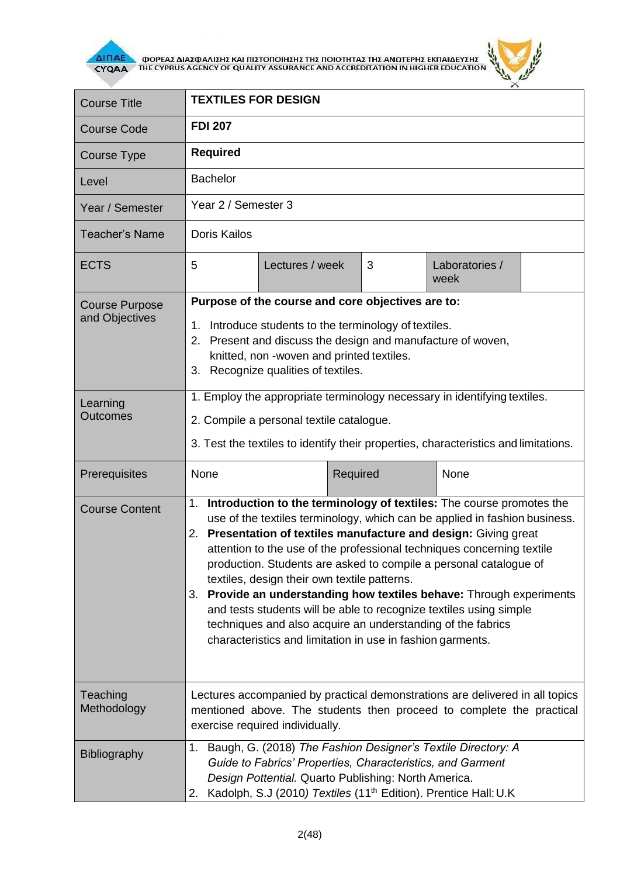

**AITIAE A OOPEAS AIAS DANISHS KAI TIISTOTOIHSHS THS TOIOTHTAS THE ANOTEPHS EKTIAIAEYSHS** 



| <b>Course Title</b>                     | <b>TEXTILES FOR DESIGN</b>                                                                                                                                                                                                                                                                                                                                                                                                                                                                                                                                                                                                                                                                          |                 |          |                        |  |  |
|-----------------------------------------|-----------------------------------------------------------------------------------------------------------------------------------------------------------------------------------------------------------------------------------------------------------------------------------------------------------------------------------------------------------------------------------------------------------------------------------------------------------------------------------------------------------------------------------------------------------------------------------------------------------------------------------------------------------------------------------------------------|-----------------|----------|------------------------|--|--|
| <b>Course Code</b>                      | <b>FDI 207</b>                                                                                                                                                                                                                                                                                                                                                                                                                                                                                                                                                                                                                                                                                      |                 |          |                        |  |  |
| Course Type                             | <b>Required</b>                                                                                                                                                                                                                                                                                                                                                                                                                                                                                                                                                                                                                                                                                     |                 |          |                        |  |  |
| Level                                   | <b>Bachelor</b>                                                                                                                                                                                                                                                                                                                                                                                                                                                                                                                                                                                                                                                                                     |                 |          |                        |  |  |
| Year / Semester                         | Year 2 / Semester 3                                                                                                                                                                                                                                                                                                                                                                                                                                                                                                                                                                                                                                                                                 |                 |          |                        |  |  |
| <b>Teacher's Name</b>                   | <b>Doris Kailos</b>                                                                                                                                                                                                                                                                                                                                                                                                                                                                                                                                                                                                                                                                                 |                 |          |                        |  |  |
| <b>ECTS</b>                             | 5                                                                                                                                                                                                                                                                                                                                                                                                                                                                                                                                                                                                                                                                                                   | Lectures / week | 3        | Laboratories /<br>week |  |  |
| <b>Course Purpose</b><br>and Objectives | Purpose of the course and core objectives are to:                                                                                                                                                                                                                                                                                                                                                                                                                                                                                                                                                                                                                                                   |                 |          |                        |  |  |
|                                         | Introduce students to the terminology of textiles.<br>1.<br>Present and discuss the design and manufacture of woven,<br>2.<br>knitted, non -woven and printed textiles.<br>Recognize qualities of textiles.<br>3.                                                                                                                                                                                                                                                                                                                                                                                                                                                                                   |                 |          |                        |  |  |
| Learning<br><b>Outcomes</b>             | 1. Employ the appropriate terminology necessary in identifying textiles.                                                                                                                                                                                                                                                                                                                                                                                                                                                                                                                                                                                                                            |                 |          |                        |  |  |
|                                         | 2. Compile a personal textile catalogue.                                                                                                                                                                                                                                                                                                                                                                                                                                                                                                                                                                                                                                                            |                 |          |                        |  |  |
|                                         | 3. Test the textiles to identify their properties, characteristics and limitations.                                                                                                                                                                                                                                                                                                                                                                                                                                                                                                                                                                                                                 |                 |          |                        |  |  |
| Prerequisites                           | None                                                                                                                                                                                                                                                                                                                                                                                                                                                                                                                                                                                                                                                                                                |                 | Required | None                   |  |  |
| <b>Course Content</b>                   | 1. Introduction to the terminology of textiles: The course promotes the<br>use of the textiles terminology, which can be applied in fashion business.<br>2. Presentation of textiles manufacture and design: Giving great<br>attention to the use of the professional techniques concerning textile<br>production. Students are asked to compile a personal catalogue of<br>textiles, design their own textile patterns.<br>3. Provide an understanding how textiles behave: Through experiments<br>and tests students will be able to recognize textiles using simple<br>techniques and also acquire an understanding of the fabrics<br>characteristics and limitation in use in fashion garments. |                 |          |                        |  |  |
| Teaching<br>Methodology                 | Lectures accompanied by practical demonstrations are delivered in all topics<br>mentioned above. The students then proceed to complete the practical<br>exercise required individually.                                                                                                                                                                                                                                                                                                                                                                                                                                                                                                             |                 |          |                        |  |  |
| Bibliography                            | 1. Baugh, G. (2018) The Fashion Designer's Textile Directory: A<br>Guide to Fabrics' Properties, Characteristics, and Garment<br>Design Pottential. Quarto Publishing: North America.<br>Kadolph, S.J (2010) Textiles (11 <sup>th</sup> Edition). Prentice Hall: U.K<br>2.                                                                                                                                                                                                                                                                                                                                                                                                                          |                 |          |                        |  |  |